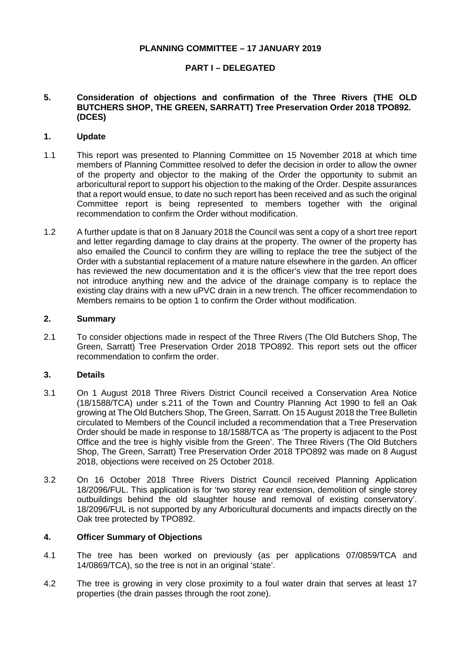## **PLANNING COMMITTEE – 17 JANUARY 2019**

# **PART I – DELEGATED**

### **5. Consideration of objections and confirmation of the Three Rivers (THE OLD BUTCHERS SHOP, THE GREEN, SARRATT) Tree Preservation Order 2018 TPO892. (DCES)**

#### **1. Update**

- 1.1 This report was presented to Planning Committee on 15 November 2018 at which time members of Planning Committee resolved to defer the decision in order to allow the owner of the property and objector to the making of the Order the opportunity to submit an arboricultural report to support his objection to the making of the Order. Despite assurances that a report would ensue, to date no such report has been received and as such the original Committee report is being represented to members together with the original recommendation to confirm the Order without modification.
- 1.2 A further update is that on 8 January 2018 the Council was sent a copy of a short tree report and letter regarding damage to clay drains at the property. The owner of the property has also emailed the Council to confirm they are willing to replace the tree the subject of the Order with a substantial replacement of a mature nature elsewhere in the garden. An officer has reviewed the new documentation and it is the officer's view that the tree report does not introduce anything new and the advice of the drainage company is to replace the existing clay drains with a new uPVC drain in a new trench. The officer recommendation to Members remains to be option 1 to confirm the Order without modification.

#### **2. Summary**

2.1 To consider objections made in respect of the Three Rivers (The Old Butchers Shop, The Green, Sarratt) Tree Preservation Order 2018 TPO892. This report sets out the officer recommendation to confirm the order.

## **3. Details**

- 3.1 On 1 August 2018 Three Rivers District Council received a Conservation Area Notice (18/1588/TCA) under s.211 of the Town and Country Planning Act 1990 to fell an Oak growing at The Old Butchers Shop, The Green, Sarratt. On 15 August 2018 the Tree Bulletin circulated to Members of the Council included a recommendation that a Tree Preservation Order should be made in response to 18/1588/TCA as 'The property is adjacent to the Post Office and the tree is highly visible from the Green'. The Three Rivers (The Old Butchers Shop, The Green, Sarratt) Tree Preservation Order 2018 TPO892 was made on 8 August 2018, objections were received on 25 October 2018.
- 3.2 On 16 October 2018 Three Rivers District Council received Planning Application 18/2096/FUL. This application is for 'two storey rear extension, demolition of single storey outbuildings behind the old slaughter house and removal of existing conservatory'. 18/2096/FUL is not supported by any Arboricultural documents and impacts directly on the Oak tree protected by TPO892.

#### **4. Officer Summary of Objections**

- 4.1 The tree has been worked on previously (as per applications 07/0859/TCA and 14/0869/TCA), so the tree is not in an original 'state'.
- 4.2 The tree is growing in very close proximity to a foul water drain that serves at least 17 properties (the drain passes through the root zone).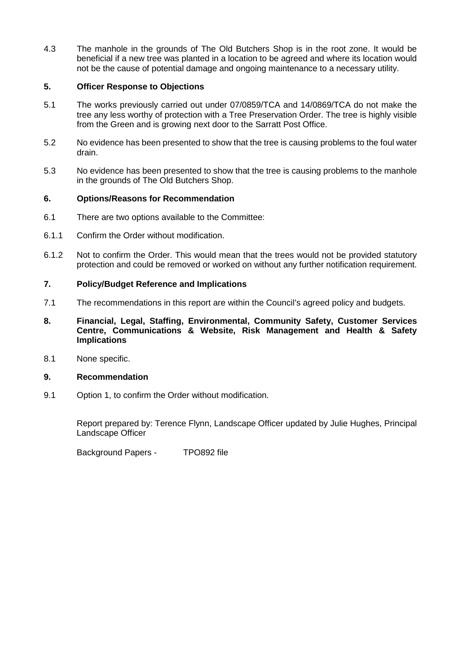4.3 The manhole in the grounds of The Old Butchers Shop is in the root zone. It would be beneficial if a new tree was planted in a location to be agreed and where its location would not be the cause of potential damage and ongoing maintenance to a necessary utility.

## **5. Officer Response to Objections**

- 5.1 The works previously carried out under 07/0859/TCA and 14/0869/TCA do not make the tree any less worthy of protection with a Tree Preservation Order. The tree is highly visible from the Green and is growing next door to the Sarratt Post Office.
- 5.2 No evidence has been presented to show that the tree is causing problems to the foul water drain.
- 5.3 No evidence has been presented to show that the tree is causing problems to the manhole in the grounds of The Old Butchers Shop.

# **6. Options/Reasons for Recommendation**

- 6.1 There are two options available to the Committee:
- 6.1.1 Confirm the Order without modification.
- 6.1.2 Not to confirm the Order. This would mean that the trees would not be provided statutory protection and could be removed or worked on without any further notification requirement.

# **7. Policy/Budget Reference and Implications**

- 7.1 The recommendations in this report are within the Council's agreed policy and budgets.
- **8. Financial, Legal, Staffing, Environmental, Community Safety, Customer Services Centre, Communications & Website, Risk Management and Health & Safety Implications**
- 8.1 None specific.

## **9. Recommendation**

9.1 Option 1, to confirm the Order without modification.

Report prepared by: Terence Flynn, Landscape Officer updated by Julie Hughes, Principal Landscape Officer

Background Papers - TPO892 file